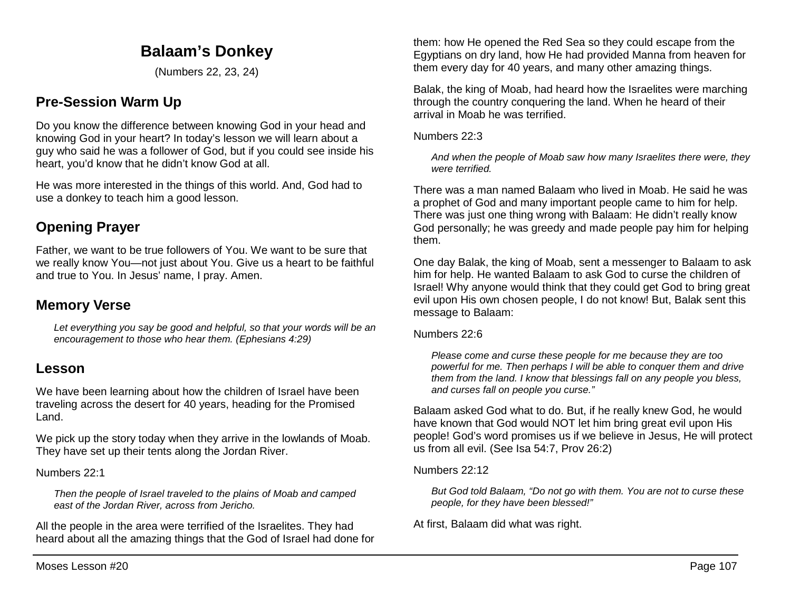# **Balaam's Donkey**

(Numbers 22, 23, 24)

# **Pre-Session Warm Up**

Do you know the difference between knowing God in your head and knowing God in your heart? In today's lesson we will learn about a guy who said he was a follower of God, but if you could see inside his heart, you'd know that he didn't know God at all.

He was more interested in the things of this world. And, God had to use a donkey to teach him a good lesson.

# **Opening Prayer**

Father, we want to be true followers of You. We want to be sure that we really know You—not just about You. Give us a heart to be faithful and true to You. In Jesus' name, I pray. Amen.

# **Memory Verse**

*Let everything you say be good and helpful, so that your words will be an encouragement to those who hear them. (Ephesians 4:29)*

## **Lesson**

We have been learning about how the children of Israel have been traveling across the desert for 40 years, heading for the Promised Land.

We pick up the story today when they arrive in the lowlands of Moab. They have set up their tents along the Jordan River.

Numbers 22:1

*Then the people of Israel traveled to the plains of Moab and camped east of the Jordan River, across from Jericho.*

All the people in the area were terrified of the Israelites. They had heard about all the amazing things that the God of Israel had done for

them: how He opened the Red Sea so they could escape from the Egyptians on dry land, how He had provided Manna from heaven for them every day for 40 years, and many other amazing things.

Balak, the king of Moab, had heard how the Israelites were marching through the country conquering the land. When he heard of their arrival in Moab he was terrified.

Numbers 22:3

*And when the people of Moab saw how many Israelites there were, they were terrified.*

There was a man named Balaam who lived in Moab. He said he was a prophet of God and many important people came to him for help. There was just one thing wrong with Balaam: He didn't really know God personally; he was greedy and made people pay him for helping them.

One day Balak, the king of Moab, sent a messenger to Balaam to ask him for help. He wanted Balaam to ask God to curse the children of Israel! Why anyone would think that they could get God to bring great evil upon His own chosen people, I do not know! But, Balak sent this message to Balaam:

Numbers 22:6

*Please come and curse these people for me because they are too powerful for me. Then perhaps I will be able to conquer them and drive them from the land. I know that blessings fall on any people you bless, and curses fall on people you curse."*

Balaam asked God what to do. But, if he really knew God, he would have known that God would NOT let him bring great evil upon His people! God's word promises us if we believe in Jesus, He will protect us from all evil. (See Isa 54:7, Prov 26:2)

Numbers 22:12

*But God told Balaam, "Do not go with them. You are not to curse these people, for they have been blessed!"*

At first, Balaam did what was right.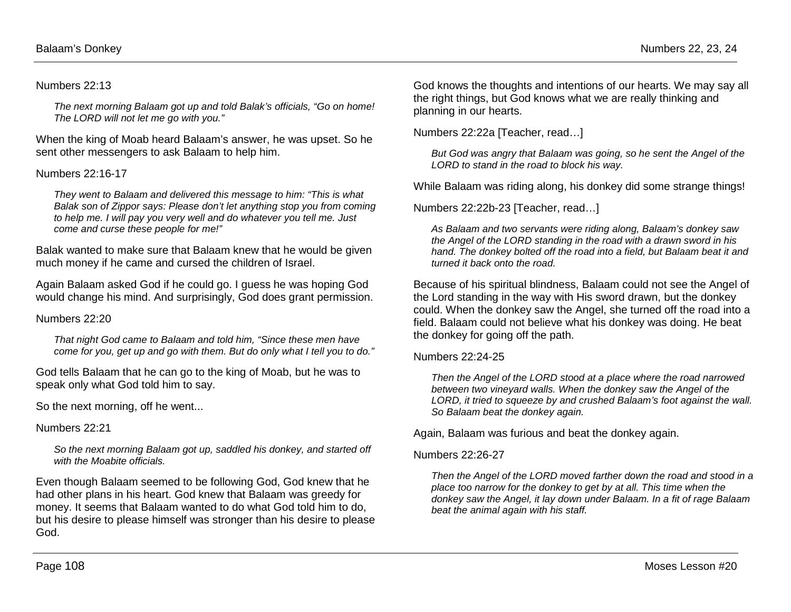### Numbers 22:13

*The next morning Balaam got up and told Balak's officials, "Go on home! The LORD will not let me go with you."*

When the king of Moab heard Balaam's answer, he was upset. So he sent other messengers to ask Balaam to help him.

### Numbers 22:16-17

*They went to Balaam and delivered this message to him: "This is what Balak son of Zippor says: Please don't let anything stop you from coming to help me. I will pay you very well and do whatever you tell me. Just come and curse these people for me!"* 

Balak wanted to make sure that Balaam knew that he would be given much money if he came and cursed the children of Israel.

Again Balaam asked God if he could go. I guess he was hoping God would change his mind. And surprisingly, God does grant permission.

#### Numbers 22:20

*That night God came to Balaam and told him, "Since these men have come for you, get up and go with them. But do only what I tell you to do."*

God tells Balaam that he can go to the king of Moab, but he was to speak only what God told him to say.

So the next morning, off he went...

Numbers 22:21

*So the next morning Balaam got up, saddled his donkey, and started off with the Moabite officials.*

Even though Balaam seemed to be following God, God knew that he had other plans in his heart. God knew that Balaam was greedy for money. It seems that Balaam wanted to do what God told him to do, but his desire to please himself was stronger than his desire to please God.

God knows the thoughts and intentions of our hearts. We may say all the right things, but God knows what we are really thinking and planning in our hearts.

Numbers 22:22a [Teacher, read…]

*But God was angry that Balaam was going, so he sent the Angel of the LORD to stand in the road to block his way.* 

While Balaam was riding along, his donkey did some strange things!

Numbers 22:22b-23 [Teacher, read…]

*As Balaam and two servants were riding along, Balaam's donkey saw the Angel of the LORD standing in the road with a drawn sword in his hand. The donkey bolted off the road into a field, but Balaam beat it and turned it back onto the road.*

Because of his spiritual blindness, Balaam could not see the Angel of the Lord standing in the way with His sword drawn, but the donkey could. When the donkey saw the Angel, she turned off the road into a field. Balaam could not believe what his donkey was doing. He beat the donkey for going off the path.

#### Numbers 22:24-25

*Then the Angel of the LORD stood at a place where the road narrowed between two vineyard walls. When the donkey saw the Angel of the LORD, it tried to squeeze by and crushed Balaam's foot against the wall. So Balaam beat the donkey again.* 

Again, Balaam was furious and beat the donkey again.

#### Numbers 22:26-27

*Then the Angel of the LORD moved farther down the road and stood in a place too narrow for the donkey to get by at all. This time when the donkey saw the Angel, it lay down under Balaam. In a fit of rage Balaam beat the animal again with his staff.*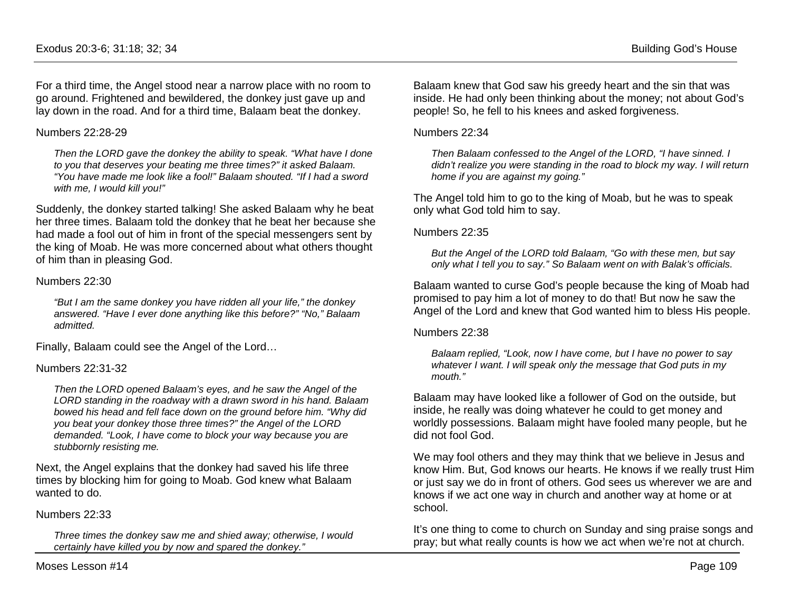For a third time, the Angel stood near a narrow place with no room to go around. Frightened and bewildered, the donkey just gave up and lay down in the road. And for a third time, Balaam beat the donkey.

### Numbers 22:28-29

*Then the LORD gave the donkey the ability to speak. "What have I done to you that deserves your beating me three times?" it asked Balaam. "You have made me look like a fool!" Balaam shouted. "If I had a sword with me, I would kill you!"* 

Suddenly, the donkey started talking! She asked Balaam why he beat her three times. Balaam told the donkey that he beat her because she had made a fool out of him in front of the special messengers sent by the king of Moab. He was more concerned about what others thought of him than in pleasing God.

## Numbers 22:30

*"But I am the same donkey you have ridden all your life," the donkey answered. "Have I ever done anything like this before?" "No," Balaam admitted.*

Finally, Balaam could see the Angel of the Lord…

## Numbers 22:31-32

*Then the LORD opened Balaam's eyes, and he saw the Angel of the LORD standing in the roadway with a drawn sword in his hand. Balaam bowed his head and fell face down on the ground before him. "Why did you beat your donkey those three times?" the Angel of the LORD demanded. "Look, I have come to block your way because you are stubbornly resisting me.* 

Next, the Angel explains that the donkey had saved his life three times by blocking him for going to Moab. God knew what Balaam wanted to do.

## Numbers 22:33

*Three times the donkey saw me and shied away; otherwise, I would certainly have killed you by now and spared the donkey."*

Balaam knew that God saw his greedy heart and the sin that was inside. He had only been thinking about the money; not about God's people! So, he fell to his knees and asked forgiveness.

### Numbers 22:34

*Then Balaam confessed to the Angel of the LORD, "I have sinned. I didn't realize you were standing in the road to block my way. I will return home if you are against my going."*

The Angel told him to go to the king of Moab, but he was to speak only what God told him to say.

## Numbers 22:35

*But the Angel of the LORD told Balaam, "Go with these men, but say only what I tell you to say." So Balaam went on with Balak's officials.*

Balaam wanted to curse God's people because the king of Moab had promised to pay him a lot of money to do that! But now he saw the Angel of the Lord and knew that God wanted him to bless His people.

## Numbers 22:38

*Balaam replied, "Look, now I have come, but I have no power to say whatever I want. I will speak only the message that God puts in my mouth."*

Balaam may have looked like a follower of God on the outside, but inside, he really was doing whatever he could to get money and worldly possessions. Balaam might have fooled many people, but he did not fool God.

We may fool others and they may think that we believe in Jesus and know Him. But, God knows our hearts. He knows if we really trust Him or just say we do in front of others. God sees us wherever we are and knows if we act one way in church and another way at home or at school.

It's one thing to come to church on Sunday and sing praise songs and pray; but what really counts is how we act when we're not at church.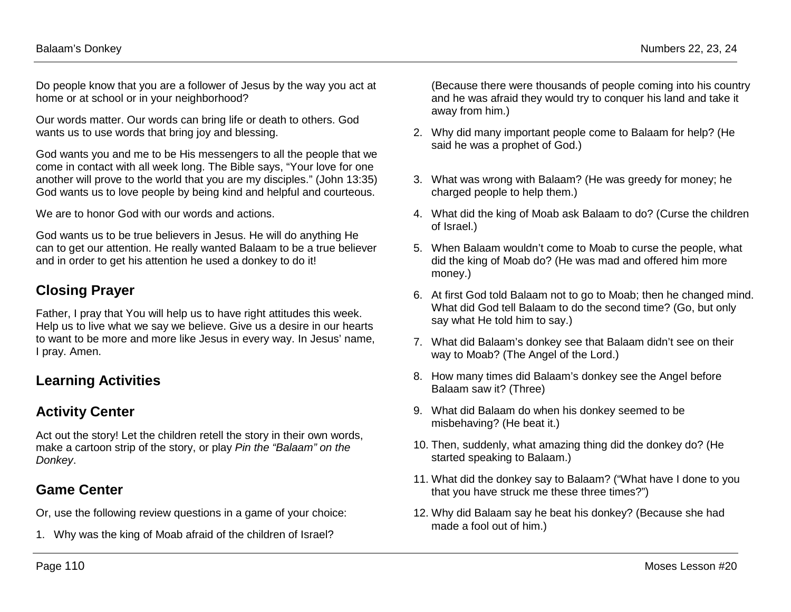Do people know that you are a follower of Jesus by the way you act at home or at school or in your neighborhood?

Our words matter. Our words can bring life or death to others. God wants us to use words that bring joy and blessing.

God wants you and me to be His messengers to all the people that we come in contact with all week long. The Bible says, "Your love for one another will prove to the world that you are my disciples." (John 13:35) God wants us to love people by being kind and helpful and courteous.

We are to honor God with our words and actions.

God wants us to be true believers in Jesus. He will do anything He can to get our attention. He really wanted Balaam to be a true believer and in order to get his attention he used a donkey to do it!

# **Closing Prayer**

Father, I pray that You will help us to have right attitudes this week. Help us to live what we say we believe. Give us a desire in our hearts to want to be more and more like Jesus in every way. In Jesus' name, I pray. Amen.

# **Learning Activities**

# **Activity Center**

Act out the story! Let the children retell the story in their own words, make a cartoon strip of the story, or play *Pin the "Balaam" on the Donkey*.

# **Game Center**

Or, use the following review questions in a game of your choice:

1. Why was the king of Moab afraid of the children of Israel?

(Because there were thousands of people coming into his country and he was afraid they would try to conquer his land and take it away from him.)

- 2. Why did many important people come to Balaam for help? (He said he was a prophet of God.)
- 3. What was wrong with Balaam? (He was greedy for money; he charged people to help them.)
- 4. What did the king of Moab ask Balaam to do? (Curse the children of Israel.)
- 5. When Balaam wouldn't come to Moab to curse the people, what did the king of Moab do? (He was mad and offered him more money.)
- 6. At first God told Balaam not to go to Moab; then he changed mind. What did God tell Balaam to do the second time? (Go, but only say what He told him to say.)
- 7. What did Balaam's donkey see that Balaam didn't see on their way to Moab? (The Angel of the Lord.)
- 8. How many times did Balaam's donkey see the Angel before Balaam saw it? (Three)
- 9. What did Balaam do when his donkey seemed to be misbehaving? (He beat it.)
- 10. Then, suddenly, what amazing thing did the donkey do? (He started speaking to Balaam.)
- 11. What did the donkey say to Balaam? ("What have I done to you that you have struck me these three times?")
- 12. Why did Balaam say he beat his donkey? (Because she had made a fool out of him.)